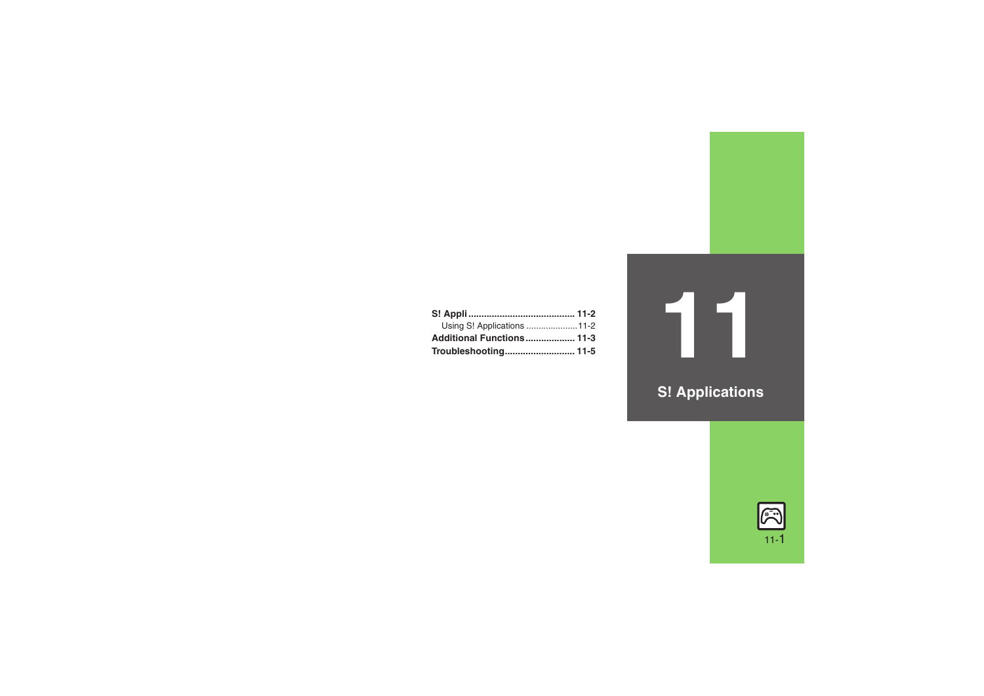| Using S! Applications 11-2 |  |
|----------------------------|--|
| Additional Functions 11-3  |  |
| Troubleshooting 11-5       |  |

**11 S! Applications**

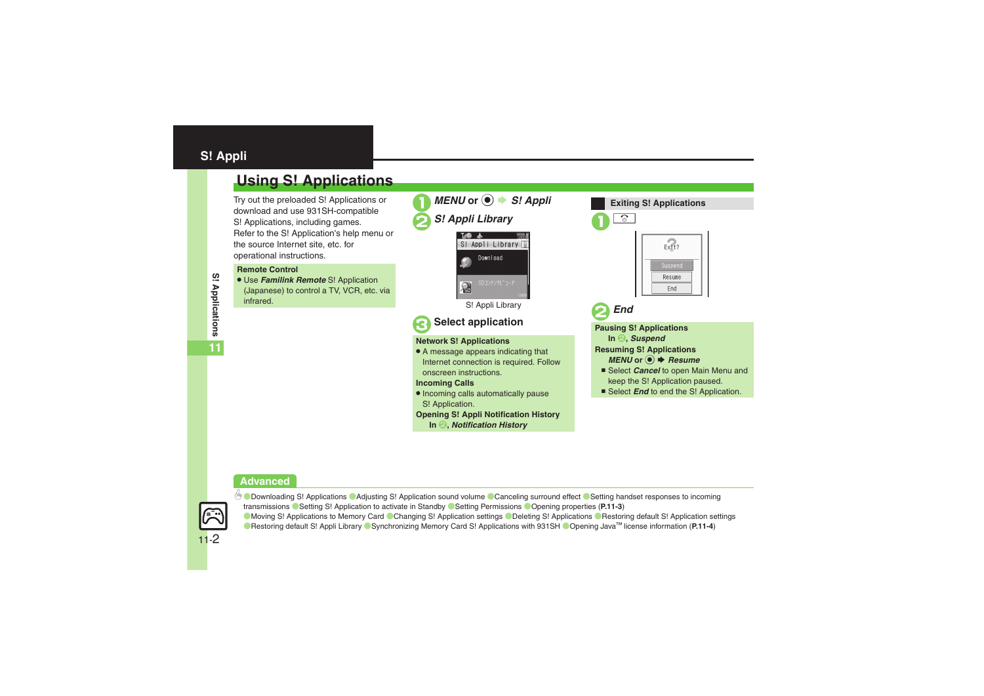## <span id="page-1-0"></span>**S! Appli**

# <span id="page-1-1"></span>**Using S! Applications**

Try out the preloaded S! Applications or download and use 931SH-compatible S! Applications, including games. Refer to the S! Application's help menu or the source Internet site, etc. for operational instructions.

#### **Remote Control**

. Use *Familink Remote* S! Application (Japanese) to control a TV, VCR, etc. via infrared.

| S! Appli Library                                                                                                                  |  |  |  |  |  |
|-----------------------------------------------------------------------------------------------------------------------------------|--|--|--|--|--|
| Appli Library<br>S!                                                                                                               |  |  |  |  |  |
| Download                                                                                                                          |  |  |  |  |  |
| SDコンテンツと" ューア<br>156KB                                                                                                            |  |  |  |  |  |
| S! Appli Library                                                                                                                  |  |  |  |  |  |
| <b>Select application</b>                                                                                                         |  |  |  |  |  |
| <b>Network S! Applications</b>                                                                                                    |  |  |  |  |  |
| • A message appears indicating that<br>Internet connection is required. Follow<br>onscreen instructions.<br><b>Incoming Calls</b> |  |  |  |  |  |
| • Incoming calls automatically pause                                                                                              |  |  |  |  |  |

1*MENU* **or** % <sup>S</sup> *S! Appli*

- .• Incoming calls automatically pause S! Application.
- **Opening S! Appli Notification History**
	- **In** 2**,** *Notification History*

|  | <b>Exiting S! Applications</b>                                                                                           |  |  |  |  |  |  |
|--|--------------------------------------------------------------------------------------------------------------------------|--|--|--|--|--|--|
|  | ╦                                                                                                                        |  |  |  |  |  |  |
|  |                                                                                                                          |  |  |  |  |  |  |
|  | Fxit?                                                                                                                    |  |  |  |  |  |  |
|  |                                                                                                                          |  |  |  |  |  |  |
|  | Suspend                                                                                                                  |  |  |  |  |  |  |
|  | Resume                                                                                                                   |  |  |  |  |  |  |
|  | End                                                                                                                      |  |  |  |  |  |  |
|  | End                                                                                                                      |  |  |  |  |  |  |
|  | <b>Pausing S! Applications</b>                                                                                           |  |  |  |  |  |  |
|  | In $\Theta$ , Suspend                                                                                                    |  |  |  |  |  |  |
|  | <b>Resuming S! Applications</b><br>$MENU$ or $\odot$ $\blacktriangleright$ Resume<br>Select Cancel to open Main Menu and |  |  |  |  |  |  |
|  |                                                                                                                          |  |  |  |  |  |  |
|  |                                                                                                                          |  |  |  |  |  |  |
|  | keep the S! Application paused.<br>Select <b>End</b> to end the S! Application.                                          |  |  |  |  |  |  |
|  |                                                                                                                          |  |  |  |  |  |  |

### **Advanced**



**O[Downloading S!](#page-2-1) Applications CAdjusting S! [Application sound volume](#page-2-2) C[Canceling surround effect](#page-2-3) CSetting handset responses to incoming** [transmissions](#page-2-4) (Setting S! [Application to activate in Standby](#page-2-5) ([Setting Permissions](#page-2-6) ([Opening properties](#page-2-7) (**[P.11-3](#page-2-1)**) CMoving S! [Applications to Memory Card](#page-3-0) CChanging S! [Application settings](#page-3-1) ©Deleting S! [Applications](#page-3-2) C[Restoring default S!](#page-3-3) Application settings **■ [Restoring default S!](#page-3-4) Appli Library ■ [Synchronizing Memory Card S!](#page-3-5) Applications with 931SH ■ Opening Java<sup>™</sup> [license information](#page-3-6) ([P.11-4](#page-3-0))**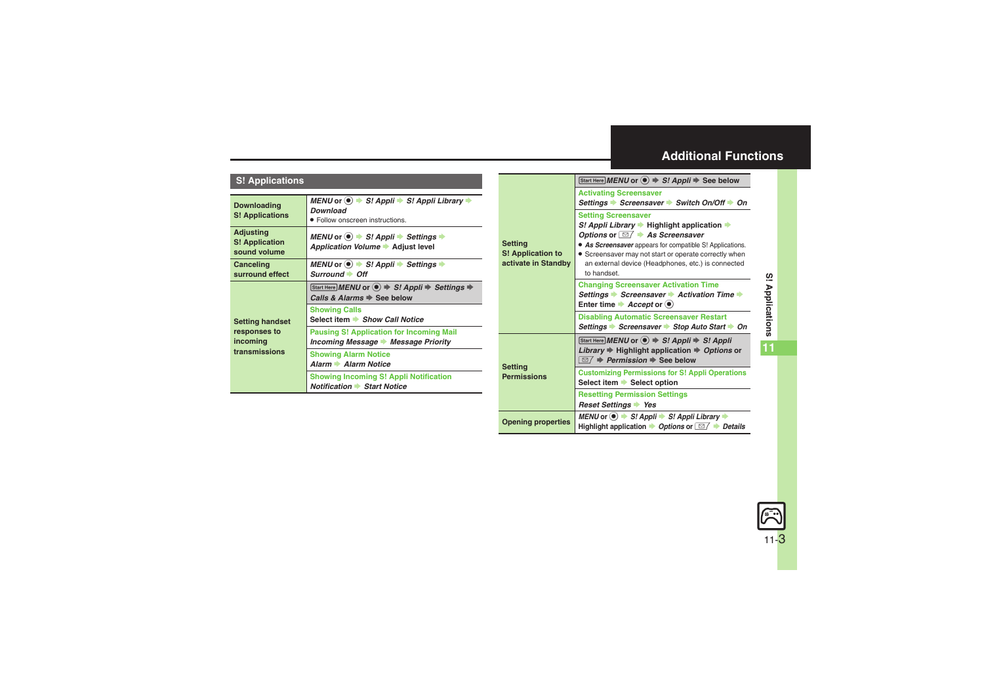<span id="page-2-0"></span>**Additional Functions**

### **S! Applications**

<span id="page-2-4"></span><span id="page-2-3"></span><span id="page-2-2"></span><span id="page-2-1"></span>

| <b>Downloading</b><br><b>S! Applications</b>              | MENU or $\bullet$ $\bullet$ S! Appli $\bullet$ S! Appli Library $\bullet$<br><b>Download</b>                                                    |  |  |  |
|-----------------------------------------------------------|-------------------------------------------------------------------------------------------------------------------------------------------------|--|--|--|
|                                                           | • Follow onscreen instructions.                                                                                                                 |  |  |  |
| <b>Adjusting</b><br><b>S! Application</b><br>sound volume | MENU or $\textcircled{\bullet}$ $\textbullet$ S! Appli $\textbullet$ Settings $\textbullet$<br>Application Volume Adjust level                  |  |  |  |
| Canceling<br>surround effect                              | MENU or $\circledast$ $\Rightarrow$ S! Appli $\Rightarrow$ Settings $\Rightarrow$<br>Surround $\Rightarrow$ Off                                 |  |  |  |
|                                                           | Start Here MENU or $\left( \bullet \right) \Rightarrow S!$ Appli $\Rightarrow$ Settings $\Rightarrow$<br>Calls & Alarms $\Rightarrow$ See below |  |  |  |
| <b>Setting handset</b>                                    | <b>Showing Calls</b><br>Select item Show Call Notice                                                                                            |  |  |  |
| responses to<br>incoming                                  | <b>Pausing S! Application for Incoming Mail</b><br>Incoming Message Message Priority                                                            |  |  |  |
| transmissions                                             | <b>Showing Alarm Notice</b><br>Alarm Alarm Notice                                                                                               |  |  |  |
|                                                           | <b>Showing Incoming S! Appli Notification</b><br><b>Notification Start Notice</b>                                                               |  |  |  |

<span id="page-2-7"></span><span id="page-2-6"></span><span id="page-2-5"></span>

|                                                            | Start Here MENU or $\textcircled{\textcircled{\textcirc}} \Rightarrow S!$ Appli $\Rightarrow$ See below                                                                                                                                                                                                |  |  |  |
|------------------------------------------------------------|--------------------------------------------------------------------------------------------------------------------------------------------------------------------------------------------------------------------------------------------------------------------------------------------------------|--|--|--|
|                                                            | <b>Activating Screensaver</b><br>Settings → Screensaver → Switch On/Off → On                                                                                                                                                                                                                           |  |  |  |
| <b>Setting</b><br>S! Application to<br>activate in Standby | <b>Setting Screensaver</b><br>S! Appli Library → Highlight application →<br>Options or $\Box$ As Screensaver<br>• As Screensaver appears for compatible S! Applications.<br>• Screensaver may not start or operate correctly when<br>an external device (Headphones, etc.) is connected<br>to handset. |  |  |  |
|                                                            | <b>Changing Screensaver Activation Time</b><br>Settings → Screensaver → Activation Time →<br>Enter time $\blacktriangleright$ <i>Accept</i> or $\blacklozenge$                                                                                                                                         |  |  |  |
|                                                            | <b>Disabling Automatic Screensaver Restart</b><br>Settings Screensaver Stop Auto Start On                                                                                                                                                                                                              |  |  |  |
|                                                            | Start Here MENU or (■) → S! Appli → S! Appli<br><i>Library</i> $\Rightarrow$ Highlight application $\Rightarrow$ <i>Options</i> or<br>$\overline{\omega}$ $\rightarrow$ Permission $\Rightarrow$ See below                                                                                             |  |  |  |
| <b>Setting</b><br><b>Permissions</b>                       | <b>Customizing Permissions for S! Appli Operations</b><br>Select item → Select option                                                                                                                                                                                                                  |  |  |  |
|                                                            | <b>Resetting Permission Settings</b><br>Reset Settings > Yes                                                                                                                                                                                                                                           |  |  |  |
| <b>Opening properties</b>                                  | MENU or $\bullet$ $\bullet$ S! Appli $\bullet$ S! Appli Library $\bullet$<br>Highlight application $\rightarrow$ Options or $\boxed{\simeq}$ $\rightarrow$ Details                                                                                                                                     |  |  |  |

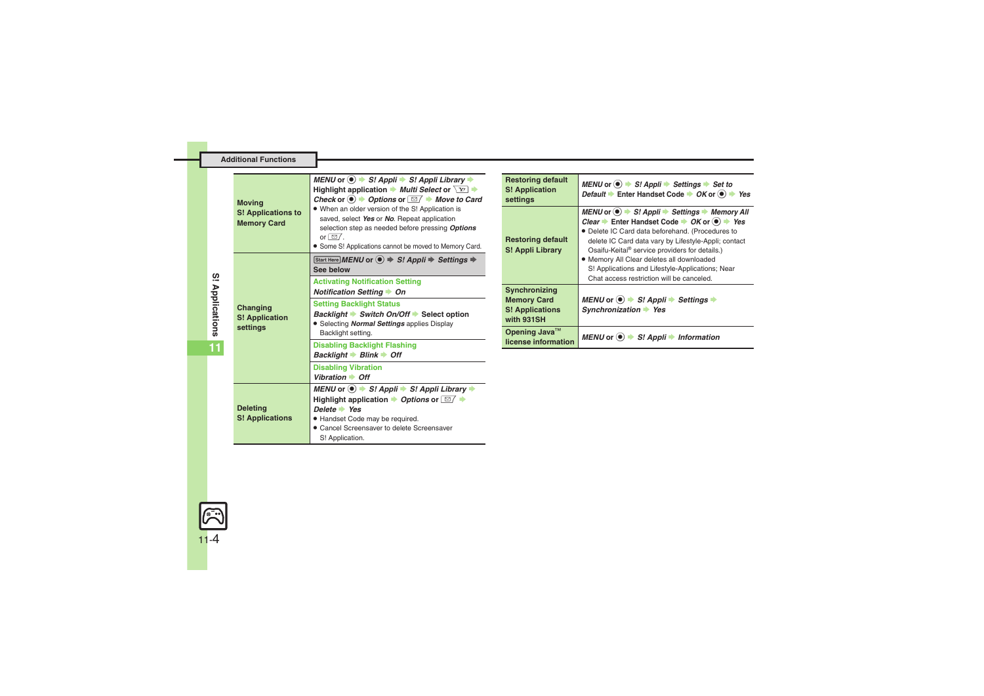<span id="page-3-0"></span>

|  | <b>Moving</b><br><b>S! Applications to</b><br><b>Memory Card</b> | MENU or $\bullet$ $\bullet$ S! Appli $\bullet$ S! Appli Library $\bullet$<br>Highlight application $\blacktriangleright$ Multi Select or $\boxed{Y}$ $\blacktriangleright$<br>Check or $\bullet$ $\bullet$ Options or $\boxed{\cong}$ $\bullet$ Move to Card<br>. When an older version of the S! Application is<br>saved, select Yes or No. Repeat application<br>selection step as needed before pressing Options<br>or $\boxed{\,\,\infty}$ .<br>• Some S! Applications cannot be moved to Memory Card. | <b>Restoring default</b><br><b>S! Application</b><br>settings | MENU or $\bullet$ $\bullet$ S! Appli $\bullet$ Settings $\bullet$ Set to<br>Default Enter Handset Code $\rightarrow$ OK or $\circledast$ $\rightarrow$ Yes                                                                                                                                                                                         |
|--|------------------------------------------------------------------|------------------------------------------------------------------------------------------------------------------------------------------------------------------------------------------------------------------------------------------------------------------------------------------------------------------------------------------------------------------------------------------------------------------------------------------------------------------------------------------------------------|---------------------------------------------------------------|----------------------------------------------------------------------------------------------------------------------------------------------------------------------------------------------------------------------------------------------------------------------------------------------------------------------------------------------------|
|  |                                                                  |                                                                                                                                                                                                                                                                                                                                                                                                                                                                                                            | <b>Restoring default</b><br>S! Appli Library                  | MENU or $\circledast$ $\rightarrow$ S! Appli $\rightarrow$ Settings $\rightarrow$ Memory All<br>Clear $\rightarrow$ Enter Handset Code $\rightarrow$ OK or $\odot$ $\rightarrow$ Yes<br>• Delete IC Card data beforehand. (Procedures to<br>delete IC Card data vary by Lifestyle-Appli; contact<br>Osaifu-Keitai® service providers for details.) |
|  | Changing<br><b>S! Application</b><br>settings                    | Start Here MENU or $\left( \bullet \right) \Rightarrow S!$ Appli $\Rightarrow$ Settings $\Rightarrow$<br>See below                                                                                                                                                                                                                                                                                                                                                                                         |                                                               | · Memory All Clear deletes all downloaded<br>S! Applications and Lifestyle-Applications; Near<br>Chat access restriction will be canceled.                                                                                                                                                                                                         |
|  |                                                                  | <b>Activating Notification Setting</b><br>Synchronizing<br>Notification Setting → On                                                                                                                                                                                                                                                                                                                                                                                                                       |                                                               |                                                                                                                                                                                                                                                                                                                                                    |
|  |                                                                  | <b>Setting Backlight Status</b><br>Backlight → Switch On/Off → Select option<br>• Selecting Normal Settings applies Display                                                                                                                                                                                                                                                                                                                                                                                | <b>Memory Card</b><br><b>S! Applications</b><br>with 931SH    | MENU or $\left( \bullet \right) \rightarrow S!$ Appli $\Rightarrow$ Settings $\Rightarrow$<br>Synchronization Yes                                                                                                                                                                                                                                  |
|  |                                                                  | Backlight setting.                                                                                                                                                                                                                                                                                                                                                                                                                                                                                         | Opening Java <sup>™</sup><br>license information              | MENU or $\left( \bullet \right)$ $\Rightarrow$ S! Appli $\Rightarrow$ Information                                                                                                                                                                                                                                                                  |
|  |                                                                  | <b>Disabling Backlight Flashing</b><br>Backlight $\rightarrow$ Blink $\rightarrow$ Off                                                                                                                                                                                                                                                                                                                                                                                                                     |                                                               |                                                                                                                                                                                                                                                                                                                                                    |
|  |                                                                  | <b>Disabling Vibration</b><br>Vibration $\Rightarrow$ Off                                                                                                                                                                                                                                                                                                                                                                                                                                                  |                                                               |                                                                                                                                                                                                                                                                                                                                                    |
|  | <b>Deleting</b><br><b>S! Applications</b>                        | MENU or $\circledast$ $\Rightarrow$ S! Appli $\Rightarrow$ S! Appli Library $\Rightarrow$<br>Highlight application $\rightarrow$ Options or $\Box$ $\rightarrow$<br>Delete $\rightarrow$ Yes                                                                                                                                                                                                                                                                                                               |                                                               |                                                                                                                                                                                                                                                                                                                                                    |
|  |                                                                  | · Handset Code may be required.<br>• Cancel Screensaver to delete Screensaver<br>S! Application.                                                                                                                                                                                                                                                                                                                                                                                                           |                                                               |                                                                                                                                                                                                                                                                                                                                                    |

<span id="page-3-6"></span><span id="page-3-5"></span><span id="page-3-4"></span><span id="page-3-3"></span> $Yes$ 

**Additional Functions**

<span id="page-3-2"></span><span id="page-3-1"></span>**11**